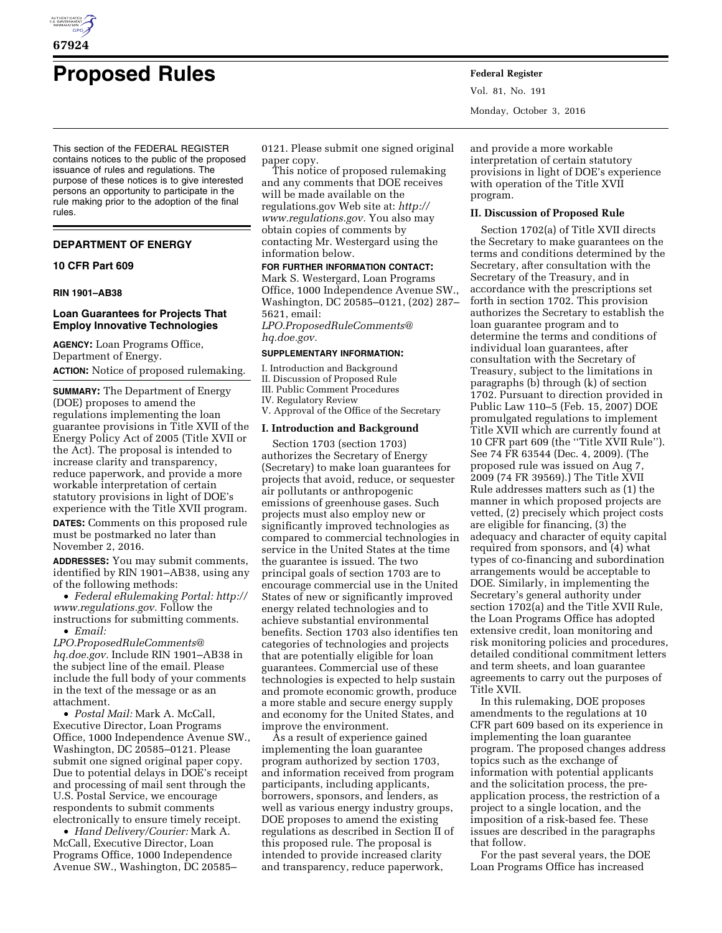

# **Proposed Rules Federal Register**

This section of the FEDERAL REGISTER contains notices to the public of the proposed issuance of rules and regulations. The purpose of these notices is to give interested persons an opportunity to participate in the rule making prior to the adoption of the final rules.

# **DEPARTMENT OF ENERGY**

## **10 CFR Part 609**

## **RIN 1901–AB38**

## **Loan Guarantees for Projects That Employ Innovative Technologies**

**AGENCY:** Loan Programs Office, Department of Energy. **ACTION:** Notice of proposed rulemaking.

**SUMMARY:** The Department of Energy (DOE) proposes to amend the regulations implementing the loan guarantee provisions in Title XVII of the Energy Policy Act of 2005 (Title XVII or the Act). The proposal is intended to increase clarity and transparency, reduce paperwork, and provide a more workable interpretation of certain statutory provisions in light of DOE's experience with the Title XVII program.

**DATES:** Comments on this proposed rule must be postmarked no later than November 2, 2016.

**ADDRESSES:** You may submit comments, identified by RIN 1901–AB38, using any of the following methods:

• *Federal eRulemaking Portal: [http://](http://www.regulations.gov)  [www.regulations.gov.](http://www.regulations.gov)* Follow the instructions for submitting comments. • *Email:* 

*[LPO.ProposedRuleComments@](mailto:LPO.ProposedRuleComments@hq.doe.gov) [hq.doe.gov.](mailto:LPO.ProposedRuleComments@hq.doe.gov)* Include RIN 1901–AB38 in the subject line of the email. Please include the full body of your comments in the text of the message or as an attachment.

• *Postal Mail:* Mark A. McCall, Executive Director, Loan Programs Office, 1000 Independence Avenue SW., Washington, DC 20585–0121. Please submit one signed original paper copy. Due to potential delays in DOE's receipt and processing of mail sent through the U.S. Postal Service, we encourage respondents to submit comments electronically to ensure timely receipt.

• *Hand Delivery/Courier:* Mark A. McCall, Executive Director, Loan Programs Office, 1000 Independence Avenue SW., Washington, DC 20585– 0121. Please submit one signed original paper copy.

This notice of proposed rulemaking and any comments that DOE receives will be made available on the regulations.gov Web site at: *[http://](http://www.regulations.gov) [www.regulations.gov.](http://www.regulations.gov)* You also may obtain copies of comments by contacting Mr. Westergard using the information below.

## **FOR FURTHER INFORMATION CONTACT:**

Mark S. Westergard, Loan Programs Office, 1000 Independence Avenue SW., Washington, DC 20585–0121, (202) 287– 5621, email: *[LPO.ProposedRuleComments@](mailto:LPO.ProposedRuleComments@hq.doe.gov) [hq.doe.gov.](mailto:LPO.ProposedRuleComments@hq.doe.gov)* 

### **SUPPLEMENTARY INFORMATION:**

- I. Introduction and Background II. Discussion of Proposed Rule
- III. Public Comment Procedures
- IV. Regulatory Review
- V. Approval of the Office of the Secretary

# **I. Introduction and Background**

Section 1703 (section 1703) authorizes the Secretary of Energy (Secretary) to make loan guarantees for projects that avoid, reduce, or sequester air pollutants or anthropogenic emissions of greenhouse gases. Such projects must also employ new or significantly improved technologies as compared to commercial technologies in service in the United States at the time the guarantee is issued. The two principal goals of section 1703 are to encourage commercial use in the United States of new or significantly improved energy related technologies and to achieve substantial environmental benefits. Section 1703 also identifies ten categories of technologies and projects that are potentially eligible for loan guarantees. Commercial use of these technologies is expected to help sustain and promote economic growth, produce a more stable and secure energy supply and economy for the United States, and improve the environment.

As a result of experience gained implementing the loan guarantee program authorized by section 1703, and information received from program participants, including applicants, borrowers, sponsors, and lenders, as well as various energy industry groups, DOE proposes to amend the existing regulations as described in Section II of this proposed rule. The proposal is intended to provide increased clarity and transparency, reduce paperwork,

Vol. 81, No. 191 Monday, October 3, 2016

and provide a more workable interpretation of certain statutory provisions in light of DOE's experience with operation of the Title XVII program.

#### **II. Discussion of Proposed Rule**

Section 1702(a) of Title XVII directs the Secretary to make guarantees on the terms and conditions determined by the Secretary, after consultation with the Secretary of the Treasury, and in accordance with the prescriptions set forth in section 1702. This provision authorizes the Secretary to establish the loan guarantee program and to determine the terms and conditions of individual loan guarantees, after consultation with the Secretary of Treasury, subject to the limitations in paragraphs (b) through (k) of section 1702. Pursuant to direction provided in Public Law 110–5 (Feb. 15, 2007) DOE promulgated regulations to implement Title XVII which are currently found at 10 CFR part 609 (the ''Title XVII Rule''). See 74 FR 63544 (Dec. 4, 2009). (The proposed rule was issued on Aug 7, 2009 (74 FR 39569).) The Title XVII Rule addresses matters such as (1) the manner in which proposed projects are vetted, (2) precisely which project costs are eligible for financing, (3) the adequacy and character of equity capital required from sponsors, and (4) what types of co-financing and subordination arrangements would be acceptable to DOE. Similarly, in implementing the Secretary's general authority under section 1702(a) and the Title XVII Rule, the Loan Programs Office has adopted extensive credit, loan monitoring and risk monitoring policies and procedures, detailed conditional commitment letters and term sheets, and loan guarantee agreements to carry out the purposes of Title XVII.

In this rulemaking, DOE proposes amendments to the regulations at 10 CFR part 609 based on its experience in implementing the loan guarantee program. The proposed changes address topics such as the exchange of information with potential applicants and the solicitation process, the preapplication process, the restriction of a project to a single location, and the imposition of a risk-based fee. These issues are described in the paragraphs that follow.

For the past several years, the DOE Loan Programs Office has increased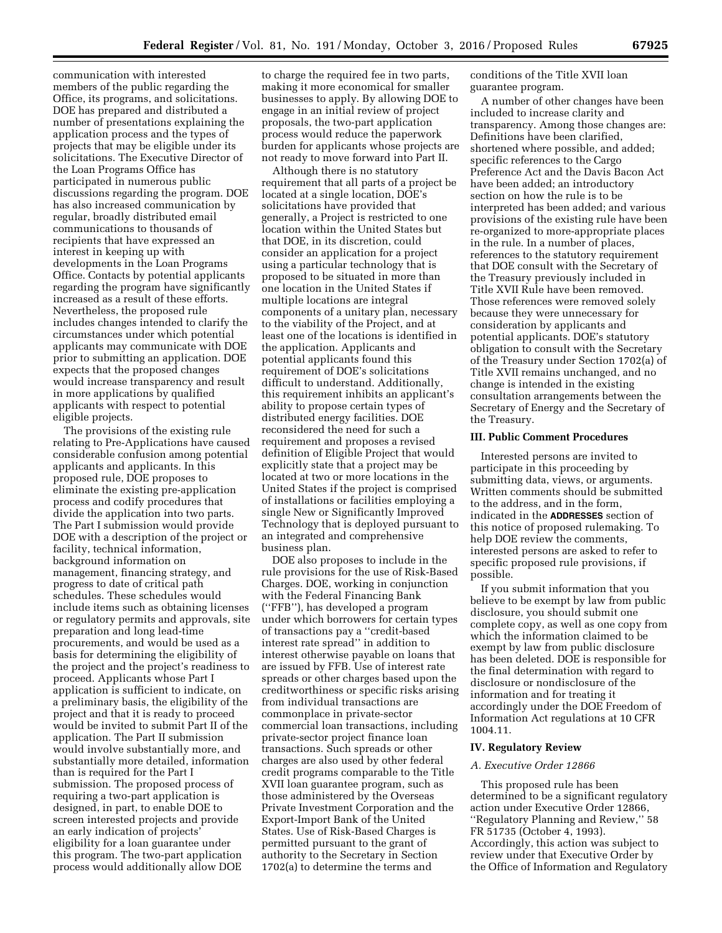communication with interested members of the public regarding the Office, its programs, and solicitations. DOE has prepared and distributed a number of presentations explaining the application process and the types of projects that may be eligible under its solicitations. The Executive Director of the Loan Programs Office has participated in numerous public discussions regarding the program. DOE has also increased communication by regular, broadly distributed email communications to thousands of recipients that have expressed an interest in keeping up with developments in the Loan Programs Office. Contacts by potential applicants regarding the program have significantly increased as a result of these efforts. Nevertheless, the proposed rule includes changes intended to clarify the circumstances under which potential applicants may communicate with DOE prior to submitting an application. DOE expects that the proposed changes would increase transparency and result in more applications by qualified applicants with respect to potential eligible projects.

The provisions of the existing rule relating to Pre-Applications have caused considerable confusion among potential applicants and applicants. In this proposed rule, DOE proposes to eliminate the existing pre-application process and codify procedures that divide the application into two parts. The Part I submission would provide DOE with a description of the project or facility, technical information, background information on management, financing strategy, and progress to date of critical path schedules. These schedules would include items such as obtaining licenses or regulatory permits and approvals, site preparation and long lead-time procurements, and would be used as a basis for determining the eligibility of the project and the project's readiness to proceed. Applicants whose Part I application is sufficient to indicate, on a preliminary basis, the eligibility of the project and that it is ready to proceed would be invited to submit Part II of the application. The Part II submission would involve substantially more, and substantially more detailed, information than is required for the Part I submission. The proposed process of requiring a two-part application is designed, in part, to enable DOE to screen interested projects and provide an early indication of projects' eligibility for a loan guarantee under this program. The two-part application process would additionally allow DOE

to charge the required fee in two parts, making it more economical for smaller businesses to apply. By allowing DOE to engage in an initial review of project proposals, the two-part application process would reduce the paperwork burden for applicants whose projects are not ready to move forward into Part II.

Although there is no statutory requirement that all parts of a project be located at a single location, DOE's solicitations have provided that generally, a Project is restricted to one location within the United States but that DOE, in its discretion, could consider an application for a project using a particular technology that is proposed to be situated in more than one location in the United States if multiple locations are integral components of a unitary plan, necessary to the viability of the Project, and at least one of the locations is identified in the application. Applicants and potential applicants found this requirement of DOE's solicitations difficult to understand. Additionally, this requirement inhibits an applicant's ability to propose certain types of distributed energy facilities. DOE reconsidered the need for such a requirement and proposes a revised definition of Eligible Project that would explicitly state that a project may be located at two or more locations in the United States if the project is comprised of installations or facilities employing a single New or Significantly Improved Technology that is deployed pursuant to an integrated and comprehensive business plan.

DOE also proposes to include in the rule provisions for the use of Risk-Based Charges. DOE, working in conjunction with the Federal Financing Bank (''FFB''), has developed a program under which borrowers for certain types of transactions pay a ''credit-based interest rate spread'' in addition to interest otherwise payable on loans that are issued by FFB. Use of interest rate spreads or other charges based upon the creditworthiness or specific risks arising from individual transactions are commonplace in private-sector commercial loan transactions, including private-sector project finance loan transactions. Such spreads or other charges are also used by other federal credit programs comparable to the Title XVII loan guarantee program, such as those administered by the Overseas Private Investment Corporation and the Export-Import Bank of the United States. Use of Risk-Based Charges is permitted pursuant to the grant of authority to the Secretary in Section 1702(a) to determine the terms and

conditions of the Title XVII loan guarantee program.

A number of other changes have been included to increase clarity and transparency. Among those changes are: Definitions have been clarified, shortened where possible, and added; specific references to the Cargo Preference Act and the Davis Bacon Act have been added; an introductory section on how the rule is to be interpreted has been added; and various provisions of the existing rule have been re-organized to more-appropriate places in the rule. In a number of places, references to the statutory requirement that DOE consult with the Secretary of the Treasury previously included in Title XVII Rule have been removed. Those references were removed solely because they were unnecessary for consideration by applicants and potential applicants. DOE's statutory obligation to consult with the Secretary of the Treasury under Section 1702(a) of Title XVII remains unchanged, and no change is intended in the existing consultation arrangements between the Secretary of Energy and the Secretary of the Treasury.

#### **III. Public Comment Procedures**

Interested persons are invited to participate in this proceeding by submitting data, views, or arguments. Written comments should be submitted to the address, and in the form, indicated in the **ADDRESSES** section of this notice of proposed rulemaking. To help DOE review the comments, interested persons are asked to refer to specific proposed rule provisions, if possible.

If you submit information that you believe to be exempt by law from public disclosure, you should submit one complete copy, as well as one copy from which the information claimed to be exempt by law from public disclosure has been deleted. DOE is responsible for the final determination with regard to disclosure or nondisclosure of the information and for treating it accordingly under the DOE Freedom of Information Act regulations at 10 CFR 1004.11.

#### **IV. Regulatory Review**

## *A. Executive Order 12866*

This proposed rule has been determined to be a significant regulatory action under Executive Order 12866, ''Regulatory Planning and Review,'' 58 FR 51735 (October 4, 1993). Accordingly, this action was subject to review under that Executive Order by the Office of Information and Regulatory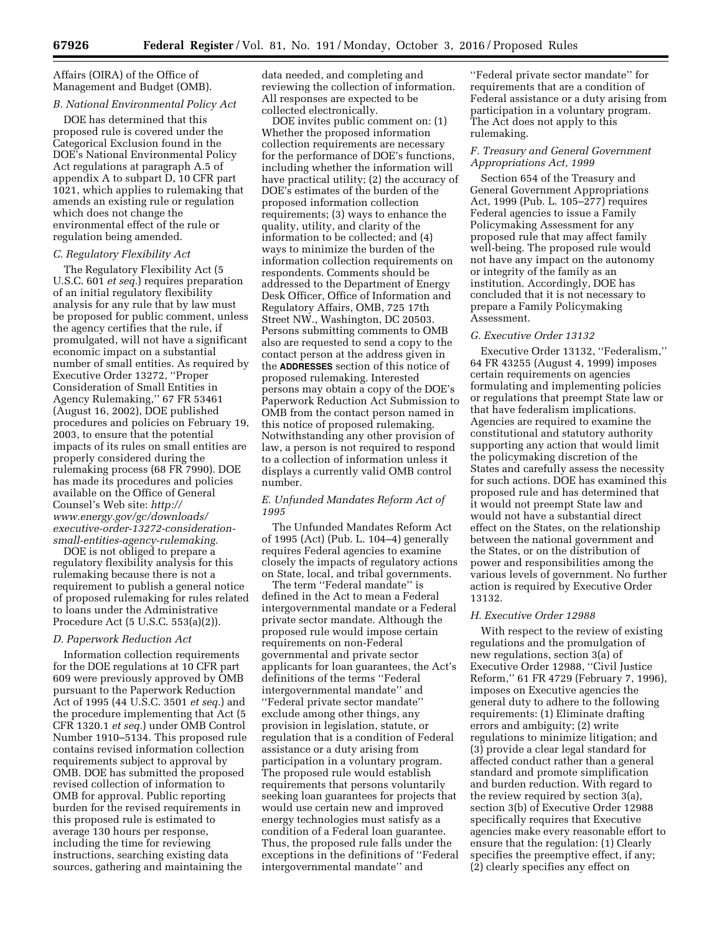Affairs (OIRA) of the Office of Management and Budget (OMB).

# *B. National Environmental Policy Act*

DOE has determined that this proposed rule is covered under the Categorical Exclusion found in the DOE's National Environmental Policy Act regulations at paragraph A.5 of appendix A to subpart D, 10 CFR part 1021, which applies to rulemaking that amends an existing rule or regulation which does not change the environmental effect of the rule or regulation being amended.

## *C. Regulatory Flexibility Act*

The Regulatory Flexibility Act (5 U.S.C. 601 *et seq.*) requires preparation of an initial regulatory flexibility analysis for any rule that by law must be proposed for public comment, unless the agency certifies that the rule, if promulgated, will not have a significant economic impact on a substantial number of small entities. As required by Executive Order 13272, ''Proper Consideration of Small Entities in Agency Rulemaking,'' 67 FR 53461 (August 16, 2002), DOE published procedures and policies on February 19, 2003, to ensure that the potential impacts of its rules on small entities are properly considered during the rulemaking process (68 FR 7990). DOE has made its procedures and policies available on the Office of General Counsel's Web site: *[http://](http://www.energy.gov/gc/downloads/executive-order-13272-consideration-small-entities-agency-rulemaking) [www.energy.gov/gc/downloads/](http://www.energy.gov/gc/downloads/executive-order-13272-consideration-small-entities-agency-rulemaking)  [executive-order-13272-consideration](http://www.energy.gov/gc/downloads/executive-order-13272-consideration-small-entities-agency-rulemaking)[small-entities-agency-rulemaking.](http://www.energy.gov/gc/downloads/executive-order-13272-consideration-small-entities-agency-rulemaking)* 

DOE is not obliged to prepare a regulatory flexibility analysis for this rulemaking because there is not a requirement to publish a general notice of proposed rulemaking for rules related to loans under the Administrative Procedure Act (5 U.S.C. 553(a)(2)).

## *D. Paperwork Reduction Act*

Information collection requirements for the DOE regulations at 10 CFR part 609 were previously approved by OMB pursuant to the Paperwork Reduction Act of 1995 (44 U.S.C. 3501 *et seq.*) and the procedure implementing that Act (5 CFR 1320.1 *et seq.*) under OMB Control Number 1910–5134. This proposed rule contains revised information collection requirements subject to approval by OMB. DOE has submitted the proposed revised collection of information to OMB for approval. Public reporting burden for the revised requirements in this proposed rule is estimated to average 130 hours per response, including the time for reviewing instructions, searching existing data sources, gathering and maintaining the

data needed, and completing and reviewing the collection of information. All responses are expected to be collected electronically.

DOE invites public comment on: (1) Whether the proposed information collection requirements are necessary for the performance of DOE's functions, including whether the information will have practical utility; (2) the accuracy of DOE's estimates of the burden of the proposed information collection requirements; (3) ways to enhance the quality, utility, and clarity of the information to be collected; and (4) ways to minimize the burden of the information collection requirements on respondents. Comments should be addressed to the Department of Energy Desk Officer, Office of Information and Regulatory Affairs, OMB, 725 17th Street NW., Washington, DC 20503. Persons submitting comments to OMB also are requested to send a copy to the contact person at the address given in the **ADDRESSES** section of this notice of proposed rulemaking. Interested persons may obtain a copy of the DOE's Paperwork Reduction Act Submission to OMB from the contact person named in this notice of proposed rulemaking. Notwithstanding any other provision of law, a person is not required to respond to a collection of information unless it displays a currently valid OMB control number.

# *E. Unfunded Mandates Reform Act of 1995*

The Unfunded Mandates Reform Act of 1995 (Act) (Pub. L. 104–4) generally requires Federal agencies to examine closely the impacts of regulatory actions on State, local, and tribal governments.

The term ''Federal mandate'' is defined in the Act to mean a Federal intergovernmental mandate or a Federal private sector mandate. Although the proposed rule would impose certain requirements on non-Federal governmental and private sector applicants for loan guarantees, the Act's definitions of the terms ''Federal intergovernmental mandate'' and ''Federal private sector mandate'' exclude among other things, any provision in legislation, statute, or regulation that is a condition of Federal assistance or a duty arising from participation in a voluntary program. The proposed rule would establish requirements that persons voluntarily seeking loan guarantees for projects that would use certain new and improved energy technologies must satisfy as a condition of a Federal loan guarantee. Thus, the proposed rule falls under the exceptions in the definitions of ''Federal intergovernmental mandate'' and

''Federal private sector mandate'' for requirements that are a condition of Federal assistance or a duty arising from participation in a voluntary program. The Act does not apply to this rulemaking.

## *F. Treasury and General Government Appropriations Act, 1999*

Section 654 of the Treasury and General Government Appropriations Act, 1999 (Pub. L. 105–277) requires Federal agencies to issue a Family Policymaking Assessment for any proposed rule that may affect family well-being. The proposed rule would not have any impact on the autonomy or integrity of the family as an institution. Accordingly, DOE has concluded that it is not necessary to prepare a Family Policymaking Assessment.

## *G. Executive Order 13132*

Executive Order 13132, ''Federalism,'' 64 FR 43255 (August 4, 1999) imposes certain requirements on agencies formulating and implementing policies or regulations that preempt State law or that have federalism implications. Agencies are required to examine the constitutional and statutory authority supporting any action that would limit the policymaking discretion of the States and carefully assess the necessity for such actions. DOE has examined this proposed rule and has determined that it would not preempt State law and would not have a substantial direct effect on the States, on the relationship between the national government and the States, or on the distribution of power and responsibilities among the various levels of government. No further action is required by Executive Order 13132.

## *H. Executive Order 12988*

With respect to the review of existing regulations and the promulgation of new regulations, section 3(a) of Executive Order 12988, ''Civil Justice Reform,'' 61 FR 4729 (February 7, 1996), imposes on Executive agencies the general duty to adhere to the following requirements: (1) Eliminate drafting errors and ambiguity; (2) write regulations to minimize litigation; and (3) provide a clear legal standard for affected conduct rather than a general standard and promote simplification and burden reduction. With regard to the review required by section 3(a), section 3(b) of Executive Order 12988 specifically requires that Executive agencies make every reasonable effort to ensure that the regulation: (1) Clearly specifies the preemptive effect, if any; (2) clearly specifies any effect on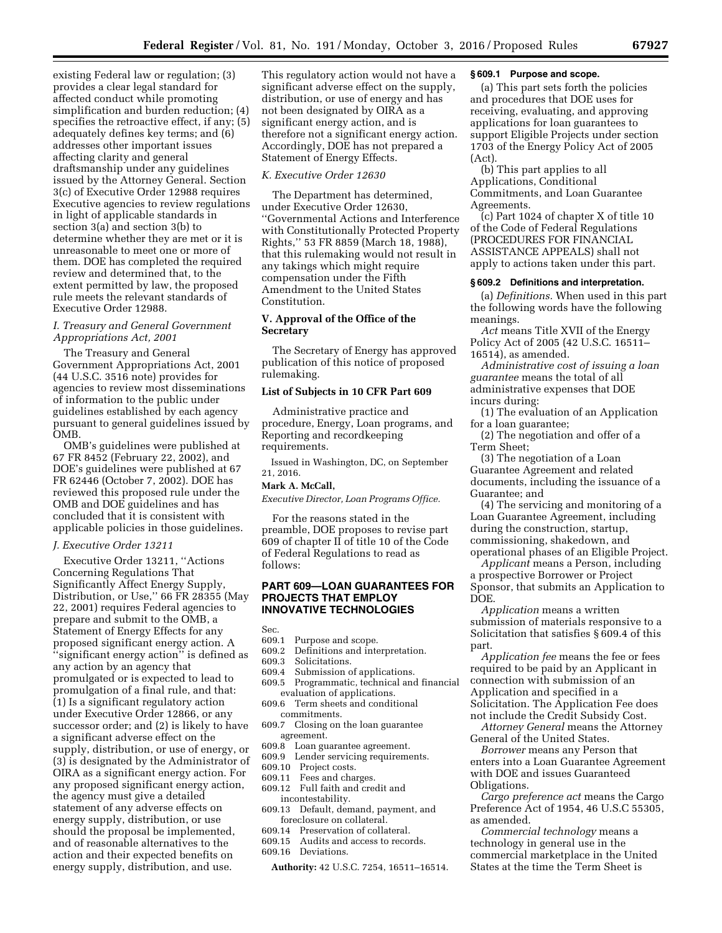existing Federal law or regulation; (3) provides a clear legal standard for affected conduct while promoting simplification and burden reduction; (4) specifies the retroactive effect, if any; (5) adequately defines key terms; and (6) addresses other important issues affecting clarity and general draftsmanship under any guidelines issued by the Attorney General. Section 3(c) of Executive Order 12988 requires Executive agencies to review regulations in light of applicable standards in section 3(a) and section 3(b) to determine whether they are met or it is unreasonable to meet one or more of them. DOE has completed the required review and determined that, to the extent permitted by law, the proposed rule meets the relevant standards of Executive Order 12988.

# *I. Treasury and General Government Appropriations Act, 2001*

The Treasury and General Government Appropriations Act, 2001 (44 U.S.C. 3516 note) provides for agencies to review most disseminations of information to the public under guidelines established by each agency pursuant to general guidelines issued by OMB.

OMB's guidelines were published at 67 FR 8452 (February 22, 2002), and DOE's guidelines were published at 67 FR 62446 (October 7, 2002). DOE has reviewed this proposed rule under the OMB and DOE guidelines and has concluded that it is consistent with applicable policies in those guidelines.

# *J. Executive Order 13211*

Executive Order 13211, ''Actions Concerning Regulations That Significantly Affect Energy Supply, Distribution, or Use,'' 66 FR 28355 (May 22, 2001) requires Federal agencies to prepare and submit to the OMB, a Statement of Energy Effects for any proposed significant energy action. A ''significant energy action'' is defined as any action by an agency that promulgated or is expected to lead to promulgation of a final rule, and that: (1) Is a significant regulatory action under Executive Order 12866, or any successor order; and (2) is likely to have a significant adverse effect on the supply, distribution, or use of energy, or (3) is designated by the Administrator of OIRA as a significant energy action. For any proposed significant energy action, the agency must give a detailed statement of any adverse effects on energy supply, distribution, or use should the proposal be implemented, and of reasonable alternatives to the action and their expected benefits on energy supply, distribution, and use.

This regulatory action would not have a significant adverse effect on the supply, distribution, or use of energy and has not been designated by OIRA as a significant energy action, and is therefore not a significant energy action. Accordingly, DOE has not prepared a Statement of Energy Effects.

## *K. Executive Order 12630*

The Department has determined, under Executive Order 12630, ''Governmental Actions and Interference with Constitutionally Protected Property Rights,'' 53 FR 8859 (March 18, 1988), that this rulemaking would not result in any takings which might require compensation under the Fifth Amendment to the United States Constitution.

## **V. Approval of the Office of the Secretary**

The Secretary of Energy has approved publication of this notice of proposed rulemaking.

## **List of Subjects in 10 CFR Part 609**

Administrative practice and procedure, Energy, Loan programs, and Reporting and recordkeeping requirements.

Issued in Washington, DC, on September 21, 2016.

## **Mark A. McCall,**

*Executive Director, Loan Programs Office.* 

For the reasons stated in the preamble, DOE proposes to revise part 609 of chapter II of title 10 of the Code of Federal Regulations to read as follows:

## **PART 609—LOAN GUARANTEES FOR PROJECTS THAT EMPLOY INNOVATIVE TECHNOLOGIES**

Sec.

- 609.1 Purpose and scope.
- 609.2 Definitions and interpretation.
- 609.3 Solicitations.<br>609.4 Submission of
- Submission of applications.
- 609.5 Programmatic, technical and financial evaluation of applications.
- 609.6 Term sheets and conditional commitments.
- 609.7 Closing on the loan guarantee agreement.
- 609.8 Loan guarantee agreement.
- 609.9 Lender servicing requirements.
- 609.10 Project costs.
- 609.11 Fees and charges.
- 609.12 Full faith and credit and incontestability.
- 609.13 Default, demand, payment, and foreclosure on collateral.
- 609.14 Preservation of collateral.
- 609.15 Audits and access to records.
- 609.16 Deviations.

**Authority:** 42 U.S.C. 7254, 16511–16514.

#### **§ 609.1 Purpose and scope.**

(a) This part sets forth the policies and procedures that DOE uses for receiving, evaluating, and approving applications for loan guarantees to support Eligible Projects under section 1703 of the Energy Policy Act of 2005 (Act).

(b) This part applies to all Applications, Conditional Commitments, and Loan Guarantee Agreements.

(c) Part 1024 of chapter X of title 10 of the Code of Federal Regulations (PROCEDURES FOR FINANCIAL ASSISTANCE APPEALS) shall not apply to actions taken under this part.

#### **§ 609.2 Definitions and interpretation.**

(a) *Definitions.* When used in this part the following words have the following meanings.

*Act* means Title XVII of the Energy Policy Act of 2005 (42 U.S.C. 16511– 16514), as amended.

*Administrative cost of issuing a loan guarantee* means the total of all administrative expenses that DOE incurs during:

(1) The evaluation of an Application for a loan guarantee;

(2) The negotiation and offer of a Term Sheet;

(3) The negotiation of a Loan Guarantee Agreement and related documents, including the issuance of a Guarantee; and

(4) The servicing and monitoring of a Loan Guarantee Agreement, including during the construction, startup, commissioning, shakedown, and operational phases of an Eligible Project.

*Applicant* means a Person, including a prospective Borrower or Project Sponsor, that submits an Application to DOE.

*Application* means a written submission of materials responsive to a Solicitation that satisfies § 609.4 of this part.

*Application fee* means the fee or fees required to be paid by an Applicant in connection with submission of an Application and specified in a Solicitation. The Application Fee does not include the Credit Subsidy Cost.

*Attorney General* means the Attorney General of the United States.

*Borrower* means any Person that enters into a Loan Guarantee Agreement with DOE and issues Guaranteed Obligations.

*Cargo preference act* means the Cargo Preference Act of 1954, 46 U.S.C 55305, as amended.

*Commercial technology* means a technology in general use in the commercial marketplace in the United States at the time the Term Sheet is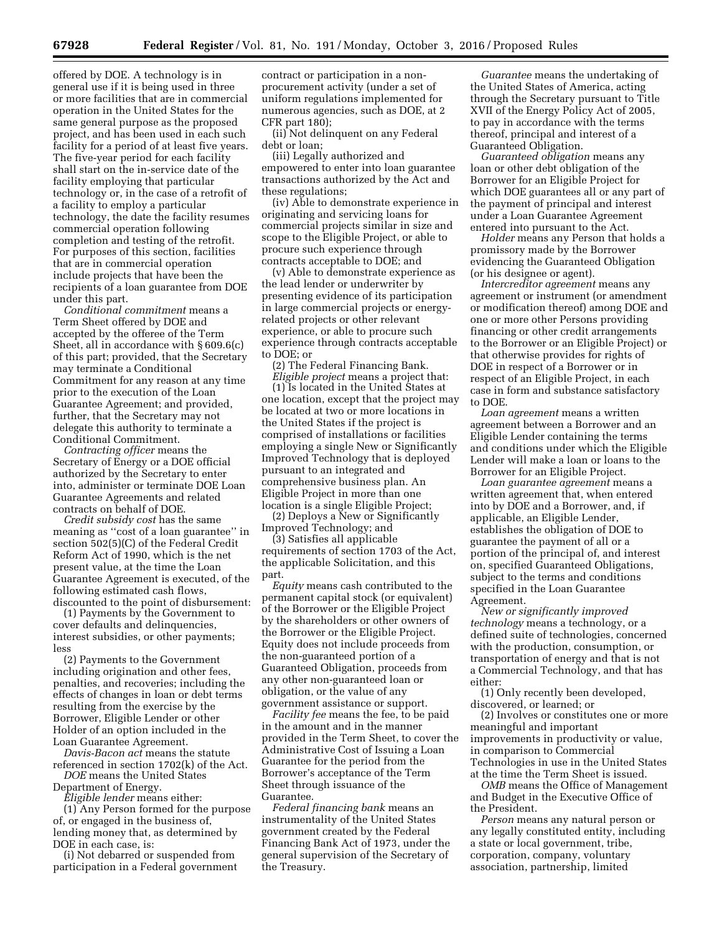offered by DOE. A technology is in general use if it is being used in three or more facilities that are in commercial operation in the United States for the same general purpose as the proposed project, and has been used in each such facility for a period of at least five years. The five-year period for each facility shall start on the in-service date of the facility employing that particular technology or, in the case of a retrofit of a facility to employ a particular technology, the date the facility resumes commercial operation following completion and testing of the retrofit. For purposes of this section, facilities that are in commercial operation include projects that have been the recipients of a loan guarantee from DOE under this part.

*Conditional commitment* means a Term Sheet offered by DOE and accepted by the offeree of the Term Sheet, all in accordance with § 609.6(c) of this part; provided, that the Secretary may terminate a Conditional Commitment for any reason at any time prior to the execution of the Loan Guarantee Agreement; and provided, further, that the Secretary may not delegate this authority to terminate a Conditional Commitment.

*Contracting officer* means the Secretary of Energy or a DOE official authorized by the Secretary to enter into, administer or terminate DOE Loan Guarantee Agreements and related contracts on behalf of DOE.

*Credit subsidy cost* has the same meaning as ''cost of a loan guarantee'' in section 502(5)(C) of the Federal Credit Reform Act of 1990, which is the net present value, at the time the Loan Guarantee Agreement is executed, of the following estimated cash flows, discounted to the point of disbursement:

(1) Payments by the Government to cover defaults and delinquencies, interest subsidies, or other payments; less

(2) Payments to the Government including origination and other fees, penalties, and recoveries; including the effects of changes in loan or debt terms resulting from the exercise by the Borrower, Eligible Lender or other Holder of an option included in the Loan Guarantee Agreement.

*Davis-Bacon act* means the statute referenced in section 1702(k) of the Act. *DOE* means the United States

Department of Energy.

*Eligible lender* means either:

(1) Any Person formed for the purpose of, or engaged in the business of, lending money that, as determined by DOE in each case, is:

(i) Not debarred or suspended from participation in a Federal government contract or participation in a nonprocurement activity (under a set of uniform regulations implemented for numerous agencies, such as DOE, at 2 CFR part 180);

(ii) Not delinquent on any Federal debt or loan;

(iii) Legally authorized and empowered to enter into loan guarantee transactions authorized by the Act and these regulations;

(iv) Able to demonstrate experience in originating and servicing loans for commercial projects similar in size and scope to the Eligible Project, or able to procure such experience through contracts acceptable to DOE; and

(v) Able to demonstrate experience as the lead lender or underwriter by presenting evidence of its participation in large commercial projects or energyrelated projects or other relevant experience, or able to procure such experience through contracts acceptable to DOE; or

(2) The Federal Financing Bank. *Eligible project* means a project that:

(1) Is located in the United States at one location, except that the project may be located at two or more locations in the United States if the project is comprised of installations or facilities employing a single New or Significantly Improved Technology that is deployed pursuant to an integrated and comprehensive business plan. An Eligible Project in more than one location is a single Eligible Project;

(2) Deploys a New or Significantly Improved Technology; and

(3) Satisfies all applicable requirements of section 1703 of the Act, the applicable Solicitation, and this part.

*Equity* means cash contributed to the permanent capital stock (or equivalent) of the Borrower or the Eligible Project by the shareholders or other owners of the Borrower or the Eligible Project. Equity does not include proceeds from the non-guaranteed portion of a Guaranteed Obligation, proceeds from any other non-guaranteed loan or obligation, or the value of any government assistance or support.

*Facility fee* means the fee, to be paid in the amount and in the manner provided in the Term Sheet, to cover the Administrative Cost of Issuing a Loan Guarantee for the period from the Borrower's acceptance of the Term Sheet through issuance of the Guarantee.

*Federal financing bank* means an instrumentality of the United States government created by the Federal Financing Bank Act of 1973, under the general supervision of the Secretary of the Treasury.

*Guarantee* means the undertaking of the United States of America, acting through the Secretary pursuant to Title XVII of the Energy Policy Act of 2005, to pay in accordance with the terms thereof, principal and interest of a Guaranteed Obligation.

*Guaranteed obligation* means any loan or other debt obligation of the Borrower for an Eligible Project for which DOE guarantees all or any part of the payment of principal and interest under a Loan Guarantee Agreement entered into pursuant to the Act.

*Holder* means any Person that holds a promissory made by the Borrower evidencing the Guaranteed Obligation (or his designee or agent).

*Intercreditor agreement* means any agreement or instrument (or amendment or modification thereof) among DOE and one or more other Persons providing financing or other credit arrangements to the Borrower or an Eligible Project) or that otherwise provides for rights of DOE in respect of a Borrower or in respect of an Eligible Project, in each case in form and substance satisfactory to DOE.

*Loan agreement* means a written agreement between a Borrower and an Eligible Lender containing the terms and conditions under which the Eligible Lender will make a loan or loans to the Borrower for an Eligible Project.

*Loan guarantee agreement* means a written agreement that, when entered into by DOE and a Borrower, and, if applicable, an Eligible Lender, establishes the obligation of DOE to guarantee the payment of all or a portion of the principal of, and interest on, specified Guaranteed Obligations, subject to the terms and conditions specified in the Loan Guarantee Agreement.

*New or significantly improved technology* means a technology, or a defined suite of technologies, concerned with the production, consumption, or transportation of energy and that is not a Commercial Technology, and that has either:

(1) Only recently been developed, discovered, or learned; or

(2) Involves or constitutes one or more meaningful and important improvements in productivity or value, in comparison to Commercial Technologies in use in the United States at the time the Term Sheet is issued.

*OMB* means the Office of Management and Budget in the Executive Office of the President.

*Person* means any natural person or any legally constituted entity, including a state or local government, tribe, corporation, company, voluntary association, partnership, limited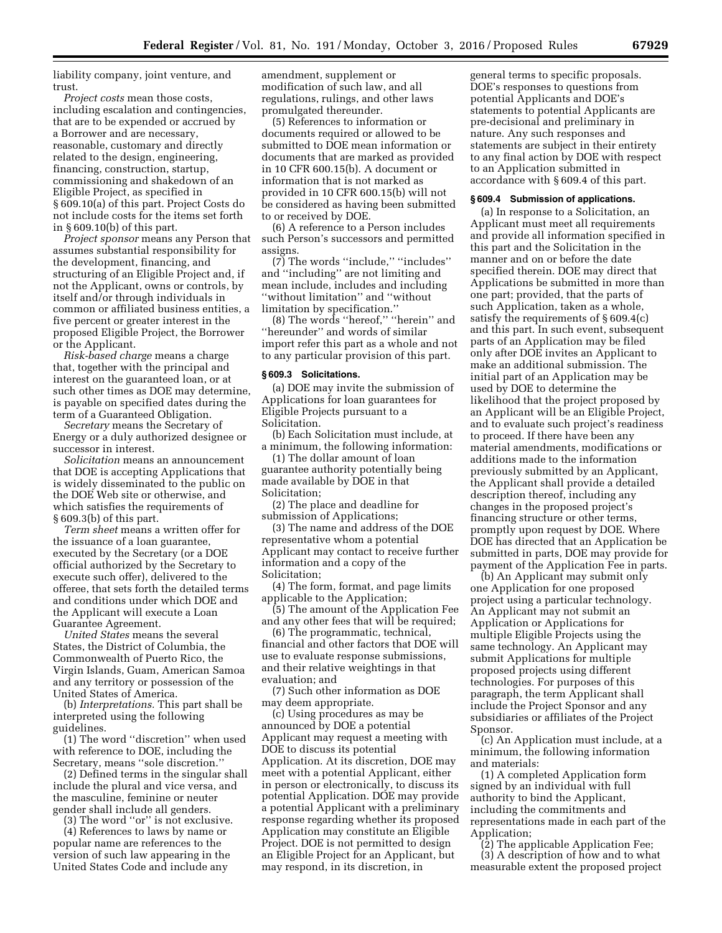liability company, joint venture, and trust.

*Project costs* mean those costs, including escalation and contingencies, that are to be expended or accrued by a Borrower and are necessary, reasonable, customary and directly related to the design, engineering, financing, construction, startup, commissioning and shakedown of an Eligible Project, as specified in § 609.10(a) of this part. Project Costs do not include costs for the items set forth in § 609.10(b) of this part.

*Project sponsor* means any Person that assumes substantial responsibility for the development, financing, and structuring of an Eligible Project and, if not the Applicant, owns or controls, by itself and/or through individuals in common or affiliated business entities, a five percent or greater interest in the proposed Eligible Project, the Borrower or the Applicant.

*Risk-based charge* means a charge that, together with the principal and interest on the guaranteed loan, or at such other times as DOE may determine, is payable on specified dates during the term of a Guaranteed Obligation.

*Secretary* means the Secretary of Energy or a duly authorized designee or successor in interest.

*Solicitation* means an announcement that DOE is accepting Applications that is widely disseminated to the public on the DOE Web site or otherwise, and which satisfies the requirements of § 609.3(b) of this part.

*Term sheet* means a written offer for the issuance of a loan guarantee, executed by the Secretary (or a DOE official authorized by the Secretary to execute such offer), delivered to the offeree, that sets forth the detailed terms and conditions under which DOE and the Applicant will execute a Loan Guarantee Agreement.

*United States* means the several States, the District of Columbia, the Commonwealth of Puerto Rico, the Virgin Islands, Guam, American Samoa and any territory or possession of the United States of America.

(b) *Interpretations.* This part shall be interpreted using the following guidelines.

(1) The word ''discretion'' when used with reference to DOE, including the Secretary, means ''sole discretion.''

(2) Defined terms in the singular shall include the plural and vice versa, and the masculine, feminine or neuter gender shall include all genders.

(3) The word ''or'' is not exclusive.

(4) References to laws by name or popular name are references to the version of such law appearing in the United States Code and include any

amendment, supplement or modification of such law, and all regulations, rulings, and other laws promulgated thereunder.

(5) References to information or documents required or allowed to be submitted to DOE mean information or documents that are marked as provided in 10 CFR 600.15(b). A document or information that is not marked as provided in 10 CFR 600.15(b) will not be considered as having been submitted to or received by DOE.

(6) A reference to a Person includes such Person's successors and permitted assigns.

(7) The words ''include,'' ''includes'' and ''including'' are not limiting and mean include, includes and including ''without limitation'' and ''without limitation by specification.''

(8) The words ''hereof,'' ''herein'' and ''hereunder'' and words of similar import refer this part as a whole and not to any particular provision of this part.

#### **§ 609.3 Solicitations.**

(a) DOE may invite the submission of Applications for loan guarantees for Eligible Projects pursuant to a Solicitation.

(b) Each Solicitation must include, at a minimum, the following information:

(1) The dollar amount of loan guarantee authority potentially being made available by DOE in that Solicitation;

(2) The place and deadline for submission of Applications;

(3) The name and address of the DOE representative whom a potential Applicant may contact to receive further information and a copy of the Solicitation;

(4) The form, format, and page limits applicable to the Application;

(5) The amount of the Application Fee and any other fees that will be required;

(6) The programmatic, technical, financial and other factors that DOE will use to evaluate response submissions, and their relative weightings in that evaluation; and

(7) Such other information as DOE may deem appropriate.

(c) Using procedures as may be announced by DOE a potential Applicant may request a meeting with DOE to discuss its potential Application. At its discretion, DOE may meet with a potential Applicant, either in person or electronically, to discuss its potential Application. DOE may provide a potential Applicant with a preliminary response regarding whether its proposed Application may constitute an Eligible Project. DOE is not permitted to design an Eligible Project for an Applicant, but may respond, in its discretion, in

general terms to specific proposals. DOE's responses to questions from potential Applicants and DOE's statements to potential Applicants are pre-decisional and preliminary in nature. Any such responses and statements are subject in their entirety to any final action by DOE with respect to an Application submitted in accordance with § 609.4 of this part.

### **§ 609.4 Submission of applications.**

(a) In response to a Solicitation, an Applicant must meet all requirements and provide all information specified in this part and the Solicitation in the manner and on or before the date specified therein. DOE may direct that Applications be submitted in more than one part; provided, that the parts of such Application, taken as a whole, satisfy the requirements of § 609.4(c) and this part. In such event, subsequent parts of an Application may be filed only after DOE invites an Applicant to make an additional submission. The initial part of an Application may be used by DOE to determine the likelihood that the project proposed by an Applicant will be an Eligible Project, and to evaluate such project's readiness to proceed. If there have been any material amendments, modifications or additions made to the information previously submitted by an Applicant, the Applicant shall provide a detailed description thereof, including any changes in the proposed project's financing structure or other terms, promptly upon request by DOE. Where DOE has directed that an Application be submitted in parts, DOE may provide for payment of the Application Fee in parts.

(b) An Applicant may submit only one Application for one proposed project using a particular technology. An Applicant may not submit an Application or Applications for multiple Eligible Projects using the same technology. An Applicant may submit Applications for multiple proposed projects using different technologies. For purposes of this paragraph, the term Applicant shall include the Project Sponsor and any subsidiaries or affiliates of the Project Sponsor.

(c) An Application must include, at a minimum, the following information and materials:

(1) A completed Application form signed by an individual with full authority to bind the Applicant, including the commitments and representations made in each part of the Application;

(2) The applicable Application Fee; (3) A description of how and to what measurable extent the proposed project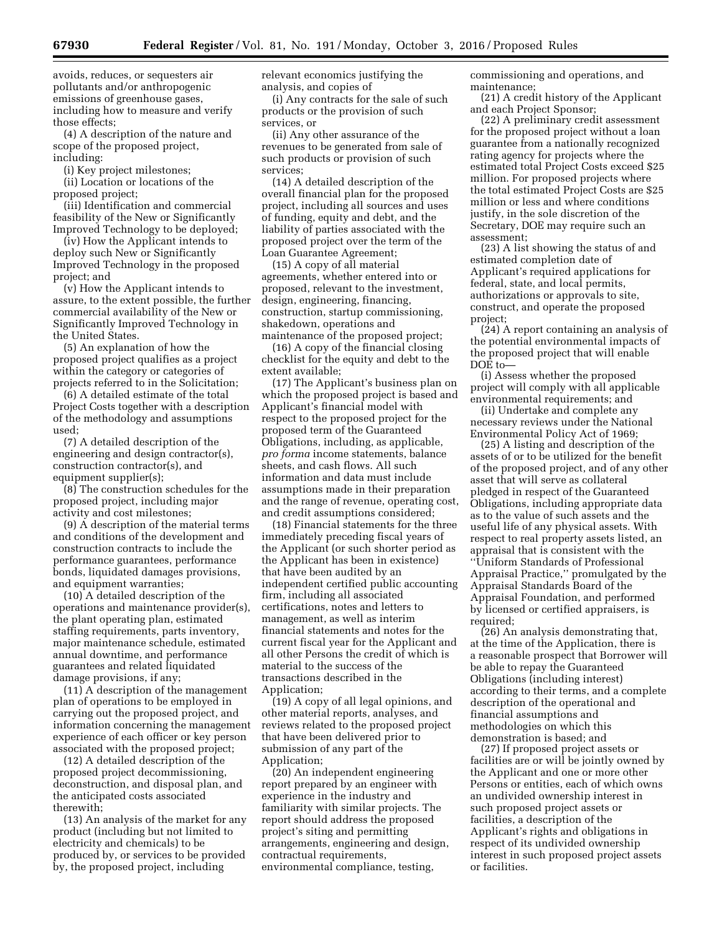avoids, reduces, or sequesters air pollutants and/or anthropogenic emissions of greenhouse gases, including how to measure and verify those effects;

(4) A description of the nature and scope of the proposed project, including:

(i) Key project milestones;

(ii) Location or locations of the proposed project;

(iii) Identification and commercial feasibility of the New or Significantly Improved Technology to be deployed;

(iv) How the Applicant intends to deploy such New or Significantly Improved Technology in the proposed project; and

(v) How the Applicant intends to assure, to the extent possible, the further commercial availability of the New or Significantly Improved Technology in the United States.

(5) An explanation of how the proposed project qualifies as a project within the category or categories of projects referred to in the Solicitation;

(6) A detailed estimate of the total Project Costs together with a description of the methodology and assumptions used;

(7) A detailed description of the engineering and design contractor(s), construction contractor(s), and equipment supplier(s);

(8) The construction schedules for the proposed project, including major activity and cost milestones;

(9) A description of the material terms and conditions of the development and construction contracts to include the performance guarantees, performance bonds, liquidated damages provisions, and equipment warranties;

(10) A detailed description of the operations and maintenance provider(s), the plant operating plan, estimated staffing requirements, parts inventory, major maintenance schedule, estimated annual downtime, and performance guarantees and related liquidated damage provisions, if any;

(11) A description of the management plan of operations to be employed in carrying out the proposed project, and information concerning the management experience of each officer or key person associated with the proposed project;

(12) A detailed description of the proposed project decommissioning, deconstruction, and disposal plan, and the anticipated costs associated therewith;

(13) An analysis of the market for any product (including but not limited to electricity and chemicals) to be produced by, or services to be provided by, the proposed project, including

relevant economics justifying the analysis, and copies of

(i) Any contracts for the sale of such products or the provision of such services, or

(ii) Any other assurance of the revenues to be generated from sale of such products or provision of such services;

(14) A detailed description of the overall financial plan for the proposed project, including all sources and uses of funding, equity and debt, and the liability of parties associated with the proposed project over the term of the Loan Guarantee Agreement;

(15) A copy of all material agreements, whether entered into or proposed, relevant to the investment, design, engineering, financing, construction, startup commissioning, shakedown, operations and maintenance of the proposed project;

(16) A copy of the financial closing checklist for the equity and debt to the extent available;

(17) The Applicant's business plan on which the proposed project is based and Applicant's financial model with respect to the proposed project for the proposed term of the Guaranteed Obligations, including, as applicable, *pro forma* income statements, balance sheets, and cash flows. All such information and data must include assumptions made in their preparation and the range of revenue, operating cost, and credit assumptions considered;

(18) Financial statements for the three immediately preceding fiscal years of the Applicant (or such shorter period as the Applicant has been in existence) that have been audited by an independent certified public accounting firm, including all associated certifications, notes and letters to management, as well as interim financial statements and notes for the current fiscal year for the Applicant and all other Persons the credit of which is material to the success of the transactions described in the Application;

(19) A copy of all legal opinions, and other material reports, analyses, and reviews related to the proposed project that have been delivered prior to submission of any part of the Application;

(20) An independent engineering report prepared by an engineer with experience in the industry and familiarity with similar projects. The report should address the proposed project's siting and permitting arrangements, engineering and design, contractual requirements, environmental compliance, testing,

commissioning and operations, and maintenance;

(21) A credit history of the Applicant and each Project Sponsor;

(22) A preliminary credit assessment for the proposed project without a loan guarantee from a nationally recognized rating agency for projects where the estimated total Project Costs exceed \$25 million. For proposed projects where the total estimated Project Costs are \$25 million or less and where conditions justify, in the sole discretion of the Secretary, DOE may require such an assessment;

(23) A list showing the status of and estimated completion date of Applicant's required applications for federal, state, and local permits, authorizations or approvals to site, construct, and operate the proposed project;

(24) A report containing an analysis of the potential environmental impacts of the proposed project that will enable DOE to—

(i) Assess whether the proposed project will comply with all applicable environmental requirements; and

(ii) Undertake and complete any necessary reviews under the National Environmental Policy Act of 1969;

(25) A listing and description of the assets of or to be utilized for the benefit of the proposed project, and of any other asset that will serve as collateral pledged in respect of the Guaranteed Obligations, including appropriate data as to the value of such assets and the useful life of any physical assets. With respect to real property assets listed, an appraisal that is consistent with the ''Uniform Standards of Professional Appraisal Practice,'' promulgated by the Appraisal Standards Board of the Appraisal Foundation, and performed by licensed or certified appraisers, is required;

(26) An analysis demonstrating that, at the time of the Application, there is a reasonable prospect that Borrower will be able to repay the Guaranteed Obligations (including interest) according to their terms, and a complete description of the operational and financial assumptions and methodologies on which this demonstration is based; and

(27) If proposed project assets or facilities are or will be jointly owned by the Applicant and one or more other Persons or entities, each of which owns an undivided ownership interest in such proposed project assets or facilities, a description of the Applicant's rights and obligations in respect of its undivided ownership interest in such proposed project assets or facilities.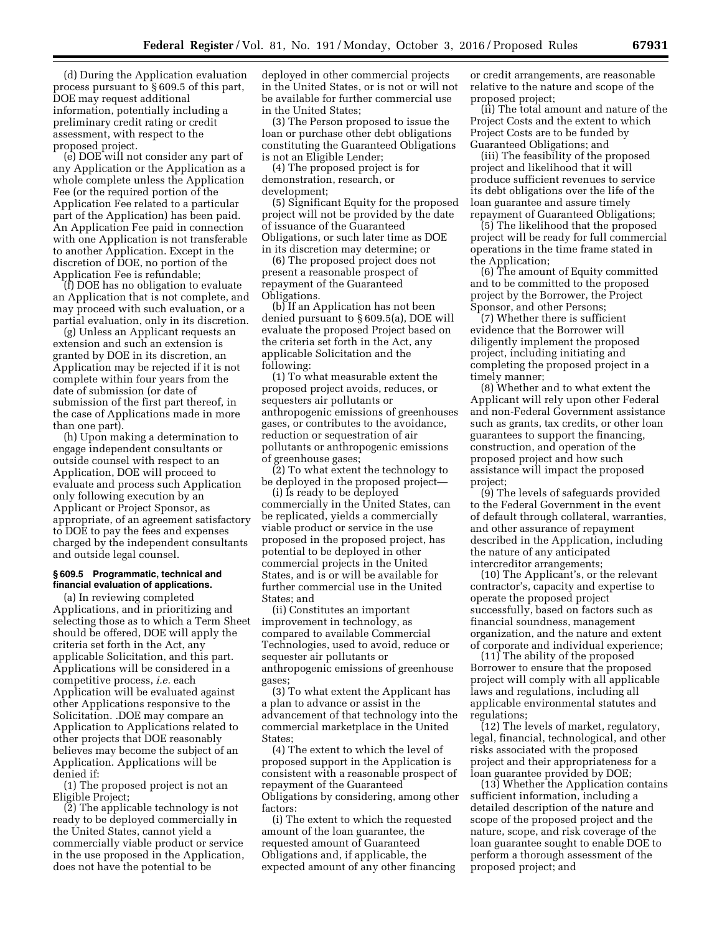(d) During the Application evaluation process pursuant to § 609.5 of this part, DOE may request additional information, potentially including a preliminary credit rating or credit assessment, with respect to the proposed project.

(e) DOE will not consider any part of any Application or the Application as a whole complete unless the Application Fee (or the required portion of the Application Fee related to a particular part of the Application) has been paid. An Application Fee paid in connection with one Application is not transferable to another Application. Except in the discretion of DOE, no portion of the Application Fee is refundable;

(f) DOE has no obligation to evaluate an Application that is not complete, and may proceed with such evaluation, or a partial evaluation, only in its discretion.

(g) Unless an Applicant requests an extension and such an extension is granted by DOE in its discretion, an Application may be rejected if it is not complete within four years from the date of submission (or date of submission of the first part thereof, in the case of Applications made in more than one part).

(h) Upon making a determination to engage independent consultants or outside counsel with respect to an Application, DOE will proceed to evaluate and process such Application only following execution by an Applicant or Project Sponsor, as appropriate, of an agreement satisfactory to DOE to pay the fees and expenses charged by the independent consultants and outside legal counsel.

#### **§ 609.5 Programmatic, technical and financial evaluation of applications.**

(a) In reviewing completed Applications, and in prioritizing and selecting those as to which a Term Sheet should be offered, DOE will apply the criteria set forth in the Act, any applicable Solicitation, and this part. Applications will be considered in a competitive process, *i.e.* each Application will be evaluated against other Applications responsive to the Solicitation. .DOE may compare an Application to Applications related to other projects that DOE reasonably believes may become the subject of an Application. Applications will be denied if:

(1) The proposed project is not an Eligible Project;

(2) The applicable technology is not ready to be deployed commercially in the United States, cannot yield a commercially viable product or service in the use proposed in the Application, does not have the potential to be

deployed in other commercial projects in the United States, or is not or will not be available for further commercial use in the United States;

(3) The Person proposed to issue the loan or purchase other debt obligations constituting the Guaranteed Obligations is not an Eligible Lender;

(4) The proposed project is for demonstration, research, or development;

(5) Significant Equity for the proposed project will not be provided by the date of issuance of the Guaranteed Obligations, or such later time as DOE in its discretion may determine; or

(6) The proposed project does not present a reasonable prospect of repayment of the Guaranteed Obligations.

(b) If an Application has not been denied pursuant to § 609.5(a), DOE will evaluate the proposed Project based on the criteria set forth in the Act, any applicable Solicitation and the following:

(1) To what measurable extent the proposed project avoids, reduces, or sequesters air pollutants or anthropogenic emissions of greenhouses gases, or contributes to the avoidance, reduction or sequestration of air pollutants or anthropogenic emissions of greenhouse gases;

(2) To what extent the technology to be deployed in the proposed project—

(i) Is ready to be deployed commercially in the United States, can be replicated, yields a commercially viable product or service in the use proposed in the proposed project, has potential to be deployed in other commercial projects in the United States, and is or will be available for further commercial use in the United States; and

(ii) Constitutes an important improvement in technology, as compared to available Commercial Technologies, used to avoid, reduce or sequester air pollutants or anthropogenic emissions of greenhouse gases;

(3) To what extent the Applicant has a plan to advance or assist in the advancement of that technology into the commercial marketplace in the United States;

(4) The extent to which the level of proposed support in the Application is consistent with a reasonable prospect of repayment of the Guaranteed Obligations by considering, among other factors:

(i) The extent to which the requested amount of the loan guarantee, the requested amount of Guaranteed Obligations and, if applicable, the expected amount of any other financing

or credit arrangements, are reasonable relative to the nature and scope of the proposed project;

(ii) The total amount and nature of the Project Costs and the extent to which Project Costs are to be funded by Guaranteed Obligations; and

(iii) The feasibility of the proposed project and likelihood that it will produce sufficient revenues to service its debt obligations over the life of the loan guarantee and assure timely repayment of Guaranteed Obligations;

(5) The likelihood that the proposed project will be ready for full commercial operations in the time frame stated in the Application;

(6) The amount of Equity committed and to be committed to the proposed project by the Borrower, the Project Sponsor, and other Persons;

(7) Whether there is sufficient evidence that the Borrower will diligently implement the proposed project, including initiating and completing the proposed project in a timely manner;

(8) Whether and to what extent the Applicant will rely upon other Federal and non-Federal Government assistance such as grants, tax credits, or other loan guarantees to support the financing, construction, and operation of the proposed project and how such assistance will impact the proposed project;

(9) The levels of safeguards provided to the Federal Government in the event of default through collateral, warranties, and other assurance of repayment described in the Application, including the nature of any anticipated intercreditor arrangements;

(10) The Applicant's, or the relevant contractor's, capacity and expertise to operate the proposed project successfully, based on factors such as financial soundness, management organization, and the nature and extent of corporate and individual experience;

(11) The ability of the proposed Borrower to ensure that the proposed project will comply with all applicable laws and regulations, including all applicable environmental statutes and regulations;

(12) The levels of market, regulatory, legal, financial, technological, and other risks associated with the proposed project and their appropriateness for a loan guarantee provided by DOE;

(13) Whether the Application contains sufficient information, including a detailed description of the nature and scope of the proposed project and the nature, scope, and risk coverage of the loan guarantee sought to enable DOE to perform a thorough assessment of the proposed project; and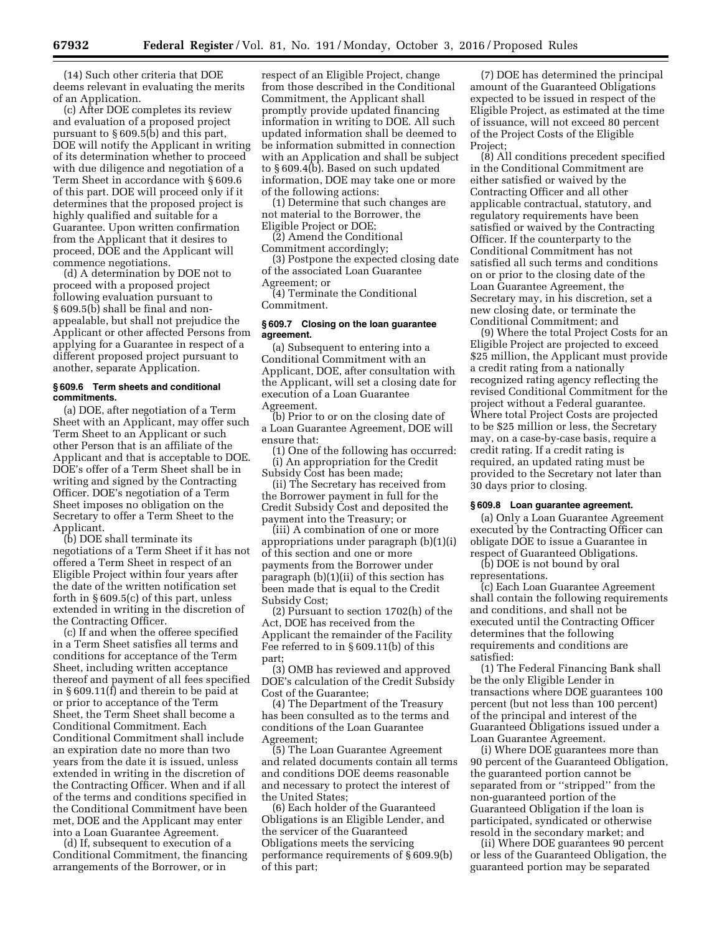(14) Such other criteria that DOE deems relevant in evaluating the merits of an Application.

(c) After DOE completes its review and evaluation of a proposed project pursuant to § 609.5(b) and this part, DOE will notify the Applicant in writing of its determination whether to proceed with due diligence and negotiation of a Term Sheet in accordance with § 609.6 of this part. DOE will proceed only if it determines that the proposed project is highly qualified and suitable for a Guarantee. Upon written confirmation from the Applicant that it desires to proceed, DOE and the Applicant will commence negotiations.

(d) A determination by DOE not to proceed with a proposed project following evaluation pursuant to § 609.5(b) shall be final and nonappealable, but shall not prejudice the Applicant or other affected Persons from applying for a Guarantee in respect of a different proposed project pursuant to another, separate Application.

### **§ 609.6 Term sheets and conditional commitments.**

(a) DOE, after negotiation of a Term Sheet with an Applicant, may offer such Term Sheet to an Applicant or such other Person that is an affiliate of the Applicant and that is acceptable to DOE. DOE's offer of a Term Sheet shall be in writing and signed by the Contracting Officer. DOE's negotiation of a Term Sheet imposes no obligation on the Secretary to offer a Term Sheet to the Applicant.

(b) DOE shall terminate its negotiations of a Term Sheet if it has not offered a Term Sheet in respect of an Eligible Project within four years after the date of the written notification set forth in § 609.5(c) of this part, unless extended in writing in the discretion of the Contracting Officer.

(c) If and when the offeree specified in a Term Sheet satisfies all terms and conditions for acceptance of the Term Sheet, including written acceptance thereof and payment of all fees specified in § 609.11(f) and therein to be paid at or prior to acceptance of the Term Sheet, the Term Sheet shall become a Conditional Commitment. Each Conditional Commitment shall include an expiration date no more than two years from the date it is issued, unless extended in writing in the discretion of the Contracting Officer. When and if all of the terms and conditions specified in the Conditional Commitment have been met, DOE and the Applicant may enter into a Loan Guarantee Agreement.

(d) If, subsequent to execution of a Conditional Commitment, the financing arrangements of the Borrower, or in

respect of an Eligible Project, change from those described in the Conditional Commitment, the Applicant shall promptly provide updated financing information in writing to DOE. All such updated information shall be deemed to be information submitted in connection with an Application and shall be subject to § 609.4(b). Based on such updated information, DOE may take one or more of the following actions:

(1) Determine that such changes are not material to the Borrower, the Eligible Project or DOE;

(2) Amend the Conditional Commitment accordingly;

(3) Postpone the expected closing date of the associated Loan Guarantee Agreement; or

(4) Terminate the Conditional Commitment.

## **§ 609.7 Closing on the loan guarantee agreement.**

(a) Subsequent to entering into a Conditional Commitment with an Applicant, DOE, after consultation with the Applicant, will set a closing date for execution of a Loan Guarantee Agreement.

(b) Prior to or on the closing date of a Loan Guarantee Agreement, DOE will ensure that:

(1) One of the following has occurred: (i) An appropriation for the Credit Subsidy Cost has been made;

(ii) The Secretary has received from the Borrower payment in full for the Credit Subsidy Cost and deposited the payment into the Treasury; or

(iii) A combination of one or more appropriations under paragraph (b)(1)(i) of this section and one or more payments from the Borrower under paragraph (b)(1)(ii) of this section has been made that is equal to the Credit Subsidy Cost;

(2) Pursuant to section 1702(h) of the Act, DOE has received from the Applicant the remainder of the Facility Fee referred to in § 609.11(b) of this part;

(3) OMB has reviewed and approved DOE's calculation of the Credit Subsidy Cost of the Guarantee;

(4) The Department of the Treasury has been consulted as to the terms and conditions of the Loan Guarantee Agreement;

(5) The Loan Guarantee Agreement and related documents contain all terms and conditions DOE deems reasonable and necessary to protect the interest of the United States;

(6) Each holder of the Guaranteed Obligations is an Eligible Lender, and the servicer of the Guaranteed Obligations meets the servicing performance requirements of § 609.9(b) of this part;

(7) DOE has determined the principal amount of the Guaranteed Obligations expected to be issued in respect of the Eligible Project, as estimated at the time of issuance, will not exceed 80 percent of the Project Costs of the Eligible Project:

(8) All conditions precedent specified in the Conditional Commitment are either satisfied or waived by the Contracting Officer and all other applicable contractual, statutory, and regulatory requirements have been satisfied or waived by the Contracting Officer. If the counterparty to the Conditional Commitment has not satisfied all such terms and conditions on or prior to the closing date of the Loan Guarantee Agreement, the Secretary may, in his discretion, set a new closing date, or terminate the Conditional Commitment; and

(9) Where the total Project Costs for an Eligible Project are projected to exceed \$25 million, the Applicant must provide a credit rating from a nationally recognized rating agency reflecting the revised Conditional Commitment for the project without a Federal guarantee. Where total Project Costs are projected to be \$25 million or less, the Secretary may, on a case-by-case basis, require a credit rating. If a credit rating is required, an updated rating must be provided to the Secretary not later than 30 days prior to closing.

#### **§ 609.8 Loan guarantee agreement.**

(a) Only a Loan Guarantee Agreement executed by the Contracting Officer can obligate DOE to issue a Guarantee in respect of Guaranteed Obligations.

(b) DOE is not bound by oral representations.

(c) Each Loan Guarantee Agreement shall contain the following requirements and conditions, and shall not be executed until the Contracting Officer determines that the following requirements and conditions are satisfied:

(1) The Federal Financing Bank shall be the only Eligible Lender in transactions where DOE guarantees 100 percent (but not less than 100 percent) of the principal and interest of the Guaranteed Obligations issued under a Loan Guarantee Agreement.

(i) Where DOE guarantees more than 90 percent of the Guaranteed Obligation, the guaranteed portion cannot be separated from or ''stripped'' from the non-guaranteed portion of the Guaranteed Obligation if the loan is participated, syndicated or otherwise resold in the secondary market; and

(ii) Where DOE guarantees 90 percent or less of the Guaranteed Obligation, the guaranteed portion may be separated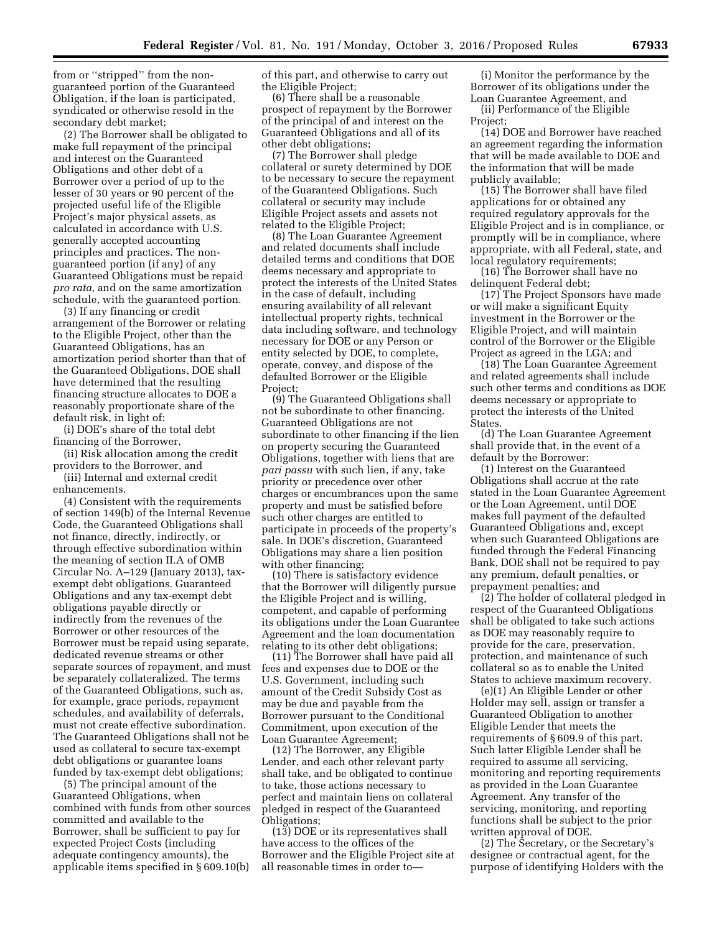from or ''stripped'' from the nonguaranteed portion of the Guaranteed Obligation, if the loan is participated, syndicated or otherwise resold in the secondary debt market;

(2) The Borrower shall be obligated to make full repayment of the principal and interest on the Guaranteed Obligations and other debt of a Borrower over a period of up to the lesser of 30 years or 90 percent of the projected useful life of the Eligible Project's major physical assets, as calculated in accordance with U.S. generally accepted accounting principles and practices. The nonguaranteed portion (if any) of any Guaranteed Obligations must be repaid *pro rata,* and on the same amortization schedule, with the guaranteed portion.

(3) If any financing or credit arrangement of the Borrower or relating to the Eligible Project, other than the Guaranteed Obligations, has an amortization period shorter than that of the Guaranteed Obligations, DOE shall have determined that the resulting financing structure allocates to DOE a reasonably proportionate share of the default risk, in light of:

(i) DOE's share of the total debt financing of the Borrower,

(ii) Risk allocation among the credit providers to the Borrower, and

(iii) Internal and external credit enhancements.

(4) Consistent with the requirements of section 149(b) of the Internal Revenue Code, the Guaranteed Obligations shall not finance, directly, indirectly, or through effective subordination within the meaning of section II.A of OMB Circular No. A–129 (January 2013), taxexempt debt obligations. Guaranteed Obligations and any tax-exempt debt obligations payable directly or indirectly from the revenues of the Borrower or other resources of the Borrower must be repaid using separate, dedicated revenue streams or other separate sources of repayment, and must be separately collateralized. The terms of the Guaranteed Obligations, such as, for example, grace periods, repayment schedules, and availability of deferrals, must not create effective subordination. The Guaranteed Obligations shall not be used as collateral to secure tax-exempt debt obligations or guarantee loans funded by tax-exempt debt obligations;

(5) The principal amount of the Guaranteed Obligations, when combined with funds from other sources committed and available to the Borrower, shall be sufficient to pay for expected Project Costs (including adequate contingency amounts), the applicable items specified in § 609.10(b)

of this part, and otherwise to carry out the Eligible Project;

(6) There shall be a reasonable prospect of repayment by the Borrower of the principal of and interest on the Guaranteed Obligations and all of its other debt obligations;

(7) The Borrower shall pledge collateral or surety determined by DOE to be necessary to secure the repayment of the Guaranteed Obligations. Such collateral or security may include Eligible Project assets and assets not related to the Eligible Project;

(8) The Loan Guarantee Agreement and related documents shall include detailed terms and conditions that DOE deems necessary and appropriate to protect the interests of the United States in the case of default, including ensuring availability of all relevant intellectual property rights, technical data including software, and technology necessary for DOE or any Person or entity selected by DOE, to complete, operate, convey, and dispose of the defaulted Borrower or the Eligible Project;

(9) The Guaranteed Obligations shall not be subordinate to other financing. Guaranteed Obligations are not subordinate to other financing if the lien on property securing the Guaranteed Obligations, together with liens that are *pari passu* with such lien, if any, take priority or precedence over other charges or encumbrances upon the same property and must be satisfied before such other charges are entitled to participate in proceeds of the property's sale. In DOE's discretion, Guaranteed Obligations may share a lien position with other financing;

(10) There is satisfactory evidence that the Borrower will diligently pursue the Eligible Project and is willing, competent, and capable of performing its obligations under the Loan Guarantee Agreement and the loan documentation relating to its other debt obligations;

(11) The Borrower shall have paid all fees and expenses due to DOE or the U.S. Government, including such amount of the Credit Subsidy Cost as may be due and payable from the Borrower pursuant to the Conditional Commitment, upon execution of the Loan Guarantee Agreement;

(12) The Borrower, any Eligible Lender, and each other relevant party shall take, and be obligated to continue to take, those actions necessary to perfect and maintain liens on collateral pledged in respect of the Guaranteed Obligations;

(13) DOE or its representatives shall have access to the offices of the Borrower and the Eligible Project site at all reasonable times in order to—

(i) Monitor the performance by the Borrower of its obligations under the Loan Guarantee Agreement, and

(ii) Performance of the Eligible Project;

(14) DOE and Borrower have reached an agreement regarding the information that will be made available to DOE and the information that will be made publicly available;

(15) The Borrower shall have filed applications for or obtained any required regulatory approvals for the Eligible Project and is in compliance, or promptly will be in compliance, where appropriate, with all Federal, state, and local regulatory requirements;

(16) The Borrower shall have no delinquent Federal debt;

(17) The Project Sponsors have made or will make a significant Equity investment in the Borrower or the Eligible Project, and will maintain control of the Borrower or the Eligible Project as agreed in the LGA; and

(18) The Loan Guarantee Agreement and related agreements shall include such other terms and conditions as DOE deems necessary or appropriate to protect the interests of the United States.

(d) The Loan Guarantee Agreement shall provide that, in the event of a default by the Borrower:

(1) Interest on the Guaranteed Obligations shall accrue at the rate stated in the Loan Guarantee Agreement or the Loan Agreement, until DOE makes full payment of the defaulted Guaranteed Obligations and, except when such Guaranteed Obligations are funded through the Federal Financing Bank, DOE shall not be required to pay any premium, default penalties, or prepayment penalties; and

(2) The holder of collateral pledged in respect of the Guaranteed Obligations shall be obligated to take such actions as DOE may reasonably require to provide for the care, preservation, protection, and maintenance of such collateral so as to enable the United States to achieve maximum recovery.

(e)(1) An Eligible Lender or other Holder may sell, assign or transfer a Guaranteed Obligation to another Eligible Lender that meets the requirements of § 609.9 of this part. Such latter Eligible Lender shall be required to assume all servicing, monitoring and reporting requirements as provided in the Loan Guarantee Agreement. Any transfer of the servicing, monitoring, and reporting functions shall be subject to the prior written approval of DOE.

(2) The Secretary, or the Secretary's designee or contractual agent, for the purpose of identifying Holders with the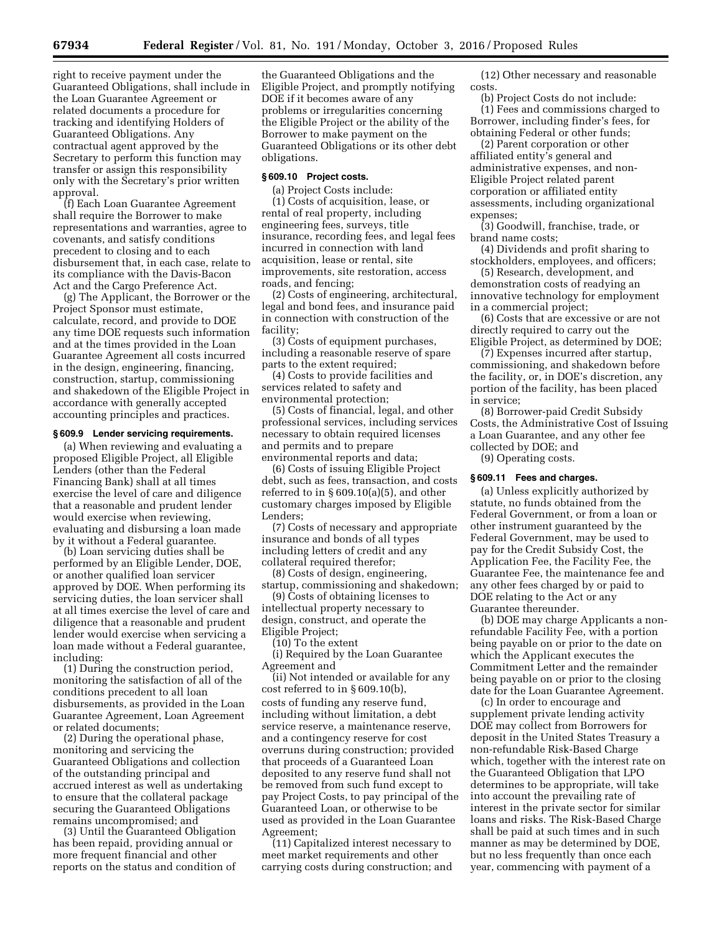right to receive payment under the Guaranteed Obligations, shall include in the Loan Guarantee Agreement or related documents a procedure for tracking and identifying Holders of Guaranteed Obligations. Any contractual agent approved by the Secretary to perform this function may transfer or assign this responsibility only with the Secretary's prior written approval.

(f) Each Loan Guarantee Agreement shall require the Borrower to make representations and warranties, agree to covenants, and satisfy conditions precedent to closing and to each disbursement that, in each case, relate to its compliance with the Davis-Bacon Act and the Cargo Preference Act.

(g) The Applicant, the Borrower or the Project Sponsor must estimate, calculate, record, and provide to DOE any time DOE requests such information and at the times provided in the Loan Guarantee Agreement all costs incurred in the design, engineering, financing, construction, startup, commissioning and shakedown of the Eligible Project in accordance with generally accepted accounting principles and practices.

#### **§ 609.9 Lender servicing requirements.**

(a) When reviewing and evaluating a proposed Eligible Project, all Eligible Lenders (other than the Federal Financing Bank) shall at all times exercise the level of care and diligence that a reasonable and prudent lender would exercise when reviewing, evaluating and disbursing a loan made by it without a Federal guarantee.

(b) Loan servicing duties shall be performed by an Eligible Lender, DOE, or another qualified loan servicer approved by DOE. When performing its servicing duties, the loan servicer shall at all times exercise the level of care and diligence that a reasonable and prudent lender would exercise when servicing a loan made without a Federal guarantee, including:

(1) During the construction period, monitoring the satisfaction of all of the conditions precedent to all loan disbursements, as provided in the Loan Guarantee Agreement, Loan Agreement or related documents;

(2) During the operational phase, monitoring and servicing the Guaranteed Obligations and collection of the outstanding principal and accrued interest as well as undertaking to ensure that the collateral package securing the Guaranteed Obligations remains uncompromised; and

(3) Until the Guaranteed Obligation has been repaid, providing annual or more frequent financial and other reports on the status and condition of

the Guaranteed Obligations and the Eligible Project, and promptly notifying DOE if it becomes aware of any problems or irregularities concerning the Eligible Project or the ability of the Borrower to make payment on the Guaranteed Obligations or its other debt obligations.

# **§ 609.10 Project costs.**

(a) Project Costs include: (1) Costs of acquisition, lease, or rental of real property, including engineering fees, surveys, title insurance, recording fees, and legal fees incurred in connection with land acquisition, lease or rental, site improvements, site restoration, access roads, and fencing;

(2) Costs of engineering, architectural, legal and bond fees, and insurance paid in connection with construction of the facility;

(3) Costs of equipment purchases, including a reasonable reserve of spare parts to the extent required;

(4) Costs to provide facilities and services related to safety and environmental protection;

(5) Costs of financial, legal, and other professional services, including services necessary to obtain required licenses and permits and to prepare environmental reports and data;

(6) Costs of issuing Eligible Project debt, such as fees, transaction, and costs referred to in  $\S 609.10(a)(5)$ , and other customary charges imposed by Eligible Lenders;

(7) Costs of necessary and appropriate insurance and bonds of all types including letters of credit and any collateral required therefor;

(8) Costs of design, engineering, startup, commissioning and shakedown; (9) Costs of obtaining licenses to

intellectual property necessary to

design, construct, and operate the Eligible Project; (10) To the extent

(i) Required by the Loan Guarantee Agreement and

(ii) Not intended or available for any cost referred to in § 609.10(b), costs of funding any reserve fund, including without limitation, a debt service reserve, a maintenance reserve, and a contingency reserve for cost overruns during construction; provided that proceeds of a Guaranteed Loan deposited to any reserve fund shall not be removed from such fund except to pay Project Costs, to pay principal of the Guaranteed Loan, or otherwise to be used as provided in the Loan Guarantee Agreement;

(11) Capitalized interest necessary to meet market requirements and other carrying costs during construction; and

(12) Other necessary and reasonable costs.

(b) Project Costs do not include: (1) Fees and commissions charged to Borrower, including finder's fees, for obtaining Federal or other funds;

(2) Parent corporation or other affiliated entity's general and administrative expenses, and non-Eligible Project related parent corporation or affiliated entity assessments, including organizational expenses;

(3) Goodwill, franchise, trade, or brand name costs;

(4) Dividends and profit sharing to stockholders, employees, and officers;

(5) Research, development, and demonstration costs of readying an innovative technology for employment in a commercial project;

(6) Costs that are excessive or are not directly required to carry out the Eligible Project, as determined by DOE;

(7) Expenses incurred after startup, commissioning, and shakedown before the facility, or, in DOE's discretion, any portion of the facility, has been placed in service;

(8) Borrower-paid Credit Subsidy Costs, the Administrative Cost of Issuing a Loan Guarantee, and any other fee collected by DOE; and

(9) Operating costs.

#### **§ 609.11 Fees and charges.**

(a) Unless explicitly authorized by statute, no funds obtained from the Federal Government, or from a loan or other instrument guaranteed by the Federal Government, may be used to pay for the Credit Subsidy Cost, the Application Fee, the Facility Fee, the Guarantee Fee, the maintenance fee and any other fees charged by or paid to DOE relating to the Act or any Guarantee thereunder.

(b) DOE may charge Applicants a nonrefundable Facility Fee, with a portion being payable on or prior to the date on which the Applicant executes the Commitment Letter and the remainder being payable on or prior to the closing date for the Loan Guarantee Agreement.

(c) In order to encourage and supplement private lending activity DOE may collect from Borrowers for deposit in the United States Treasury a non-refundable Risk-Based Charge which, together with the interest rate on the Guaranteed Obligation that LPO determines to be appropriate, will take into account the prevailing rate of interest in the private sector for similar loans and risks. The Risk-Based Charge shall be paid at such times and in such manner as may be determined by DOE, but no less frequently than once each year, commencing with payment of a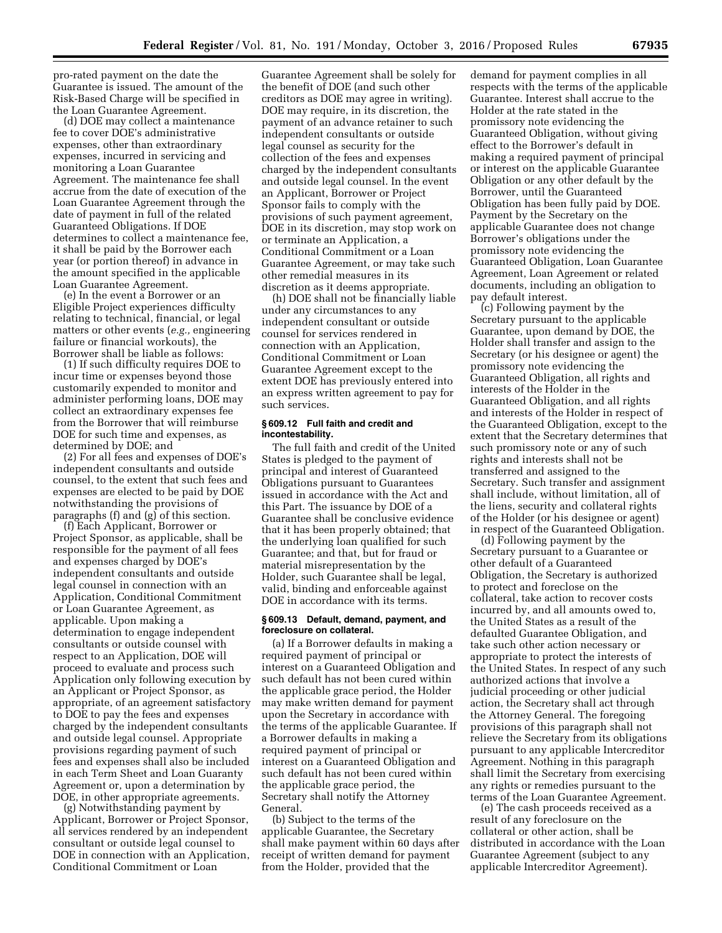pro-rated payment on the date the Guarantee is issued. The amount of the Risk-Based Charge will be specified in the Loan Guarantee Agreement.

(d) DOE may collect a maintenance fee to cover DOE's administrative expenses, other than extraordinary expenses, incurred in servicing and monitoring a Loan Guarantee Agreement. The maintenance fee shall accrue from the date of execution of the Loan Guarantee Agreement through the date of payment in full of the related Guaranteed Obligations. If DOE determines to collect a maintenance fee, it shall be paid by the Borrower each year (or portion thereof) in advance in the amount specified in the applicable Loan Guarantee Agreement.

(e) In the event a Borrower or an Eligible Project experiences difficulty relating to technical, financial, or legal matters or other events (*e.g.,* engineering failure or financial workouts), the Borrower shall be liable as follows:

(1) If such difficulty requires DOE to incur time or expenses beyond those customarily expended to monitor and administer performing loans, DOE may collect an extraordinary expenses fee from the Borrower that will reimburse DOE for such time and expenses, as determined by DOE; and

(2) For all fees and expenses of DOE's independent consultants and outside counsel, to the extent that such fees and expenses are elected to be paid by DOE notwithstanding the provisions of paragraphs (f) and (g) of this section.

(f) Each Applicant, Borrower or Project Sponsor, as applicable, shall be responsible for the payment of all fees and expenses charged by DOE's independent consultants and outside legal counsel in connection with an Application, Conditional Commitment or Loan Guarantee Agreement, as applicable. Upon making a determination to engage independent consultants or outside counsel with respect to an Application, DOE will proceed to evaluate and process such Application only following execution by an Applicant or Project Sponsor, as appropriate, of an agreement satisfactory to DOE to pay the fees and expenses charged by the independent consultants and outside legal counsel. Appropriate provisions regarding payment of such fees and expenses shall also be included in each Term Sheet and Loan Guaranty Agreement or, upon a determination by DOE, in other appropriate agreements.

(g) Notwithstanding payment by Applicant, Borrower or Project Sponsor, all services rendered by an independent consultant or outside legal counsel to DOE in connection with an Application, Conditional Commitment or Loan

Guarantee Agreement shall be solely for the benefit of DOE (and such other creditors as DOE may agree in writing). DOE may require, in its discretion, the payment of an advance retainer to such independent consultants or outside legal counsel as security for the collection of the fees and expenses charged by the independent consultants and outside legal counsel. In the event an Applicant, Borrower or Project Sponsor fails to comply with the provisions of such payment agreement, DOE in its discretion, may stop work on or terminate an Application, a Conditional Commitment or a Loan Guarantee Agreement, or may take such other remedial measures in its discretion as it deems appropriate.

(h) DOE shall not be financially liable under any circumstances to any independent consultant or outside counsel for services rendered in connection with an Application, Conditional Commitment or Loan Guarantee Agreement except to the extent DOE has previously entered into an express written agreement to pay for such services.

### **§ 609.12 Full faith and credit and incontestability.**

The full faith and credit of the United States is pledged to the payment of principal and interest of Guaranteed Obligations pursuant to Guarantees issued in accordance with the Act and this Part. The issuance by DOE of a Guarantee shall be conclusive evidence that it has been properly obtained; that the underlying loan qualified for such Guarantee; and that, but for fraud or material misrepresentation by the Holder, such Guarantee shall be legal, valid, binding and enforceable against DOE in accordance with its terms.

## **§ 609.13 Default, demand, payment, and foreclosure on collateral.**

(a) If a Borrower defaults in making a required payment of principal or interest on a Guaranteed Obligation and such default has not been cured within the applicable grace period, the Holder may make written demand for payment upon the Secretary in accordance with the terms of the applicable Guarantee. If a Borrower defaults in making a required payment of principal or interest on a Guaranteed Obligation and such default has not been cured within the applicable grace period, the Secretary shall notify the Attorney General.

(b) Subject to the terms of the applicable Guarantee, the Secretary shall make payment within 60 days after receipt of written demand for payment from the Holder, provided that the

demand for payment complies in all respects with the terms of the applicable Guarantee. Interest shall accrue to the Holder at the rate stated in the promissory note evidencing the Guaranteed Obligation, without giving effect to the Borrower's default in making a required payment of principal or interest on the applicable Guarantee Obligation or any other default by the Borrower, until the Guaranteed Obligation has been fully paid by DOE. Payment by the Secretary on the applicable Guarantee does not change Borrower's obligations under the promissory note evidencing the Guaranteed Obligation, Loan Guarantee Agreement, Loan Agreement or related documents, including an obligation to pay default interest.

(c) Following payment by the Secretary pursuant to the applicable Guarantee, upon demand by DOE, the Holder shall transfer and assign to the Secretary (or his designee or agent) the promissory note evidencing the Guaranteed Obligation, all rights and interests of the Holder in the Guaranteed Obligation, and all rights and interests of the Holder in respect of the Guaranteed Obligation, except to the extent that the Secretary determines that such promissory note or any of such rights and interests shall not be transferred and assigned to the Secretary. Such transfer and assignment shall include, without limitation, all of the liens, security and collateral rights of the Holder (or his designee or agent) in respect of the Guaranteed Obligation.

(d) Following payment by the Secretary pursuant to a Guarantee or other default of a Guaranteed Obligation, the Secretary is authorized to protect and foreclose on the collateral, take action to recover costs incurred by, and all amounts owed to, the United States as a result of the defaulted Guarantee Obligation, and take such other action necessary or appropriate to protect the interests of the United States. In respect of any such authorized actions that involve a judicial proceeding or other judicial action, the Secretary shall act through the Attorney General. The foregoing provisions of this paragraph shall not relieve the Secretary from its obligations pursuant to any applicable Intercreditor Agreement. Nothing in this paragraph shall limit the Secretary from exercising any rights or remedies pursuant to the terms of the Loan Guarantee Agreement.

(e) The cash proceeds received as a result of any foreclosure on the collateral or other action, shall be distributed in accordance with the Loan Guarantee Agreement (subject to any applicable Intercreditor Agreement).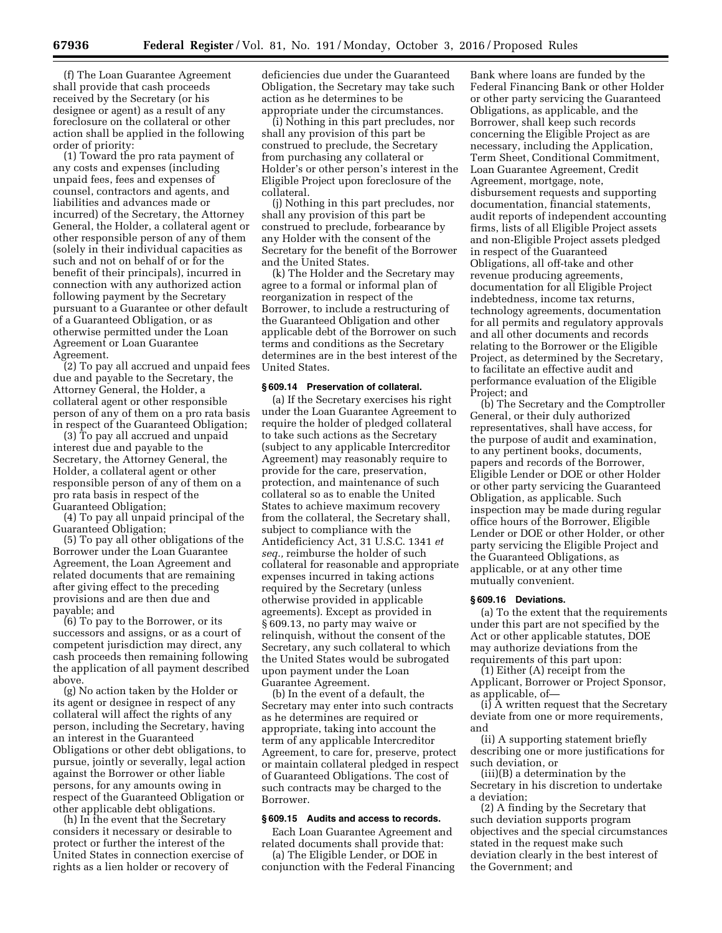(f) The Loan Guarantee Agreement shall provide that cash proceeds received by the Secretary (or his designee or agent) as a result of any foreclosure on the collateral or other action shall be applied in the following order of priority:

(1) Toward the pro rata payment of any costs and expenses (including unpaid fees, fees and expenses of counsel, contractors and agents, and liabilities and advances made or incurred) of the Secretary, the Attorney General, the Holder, a collateral agent or other responsible person of any of them (solely in their individual capacities as such and not on behalf of or for the benefit of their principals), incurred in connection with any authorized action following payment by the Secretary pursuant to a Guarantee or other default of a Guaranteed Obligation, or as otherwise permitted under the Loan Agreement or Loan Guarantee Agreement.

(2) To pay all accrued and unpaid fees due and payable to the Secretary, the Attorney General, the Holder, a collateral agent or other responsible person of any of them on a pro rata basis in respect of the Guaranteed Obligation;

(3) To pay all accrued and unpaid interest due and payable to the Secretary, the Attorney General, the Holder, a collateral agent or other responsible person of any of them on a pro rata basis in respect of the Guaranteed Obligation;

(4) To pay all unpaid principal of the Guaranteed Obligation;

(5) To pay all other obligations of the Borrower under the Loan Guarantee Agreement, the Loan Agreement and related documents that are remaining after giving effect to the preceding provisions and are then due and payable; and

(6) To pay to the Borrower, or its successors and assigns, or as a court of competent jurisdiction may direct, any cash proceeds then remaining following the application of all payment described above.

(g) No action taken by the Holder or its agent or designee in respect of any collateral will affect the rights of any person, including the Secretary, having an interest in the Guaranteed Obligations or other debt obligations, to pursue, jointly or severally, legal action against the Borrower or other liable persons, for any amounts owing in respect of the Guaranteed Obligation or other applicable debt obligations.

(h) In the event that the Secretary considers it necessary or desirable to protect or further the interest of the United States in connection exercise of rights as a lien holder or recovery of

deficiencies due under the Guaranteed Obligation, the Secretary may take such action as he determines to be appropriate under the circumstances.

(i) Nothing in this part precludes, nor shall any provision of this part be construed to preclude, the Secretary from purchasing any collateral or Holder's or other person's interest in the Eligible Project upon foreclosure of the collateral.

(j) Nothing in this part precludes, nor shall any provision of this part be construed to preclude, forbearance by any Holder with the consent of the Secretary for the benefit of the Borrower and the United States.

(k) The Holder and the Secretary may agree to a formal or informal plan of reorganization in respect of the Borrower, to include a restructuring of the Guaranteed Obligation and other applicable debt of the Borrower on such terms and conditions as the Secretary determines are in the best interest of the United States.

## **§ 609.14 Preservation of collateral.**

(a) If the Secretary exercises his right under the Loan Guarantee Agreement to require the holder of pledged collateral to take such actions as the Secretary (subject to any applicable Intercreditor Agreement) may reasonably require to provide for the care, preservation, protection, and maintenance of such collateral so as to enable the United States to achieve maximum recovery from the collateral, the Secretary shall, subject to compliance with the Antideficiency Act, 31 U.S.C. 1341 *et seq.,* reimburse the holder of such collateral for reasonable and appropriate expenses incurred in taking actions required by the Secretary (unless otherwise provided in applicable agreements). Except as provided in § 609.13, no party may waive or relinquish, without the consent of the Secretary, any such collateral to which the United States would be subrogated upon payment under the Loan Guarantee Agreement.

(b) In the event of a default, the Secretary may enter into such contracts as he determines are required or appropriate, taking into account the term of any applicable Intercreditor Agreement, to care for, preserve, protect or maintain collateral pledged in respect of Guaranteed Obligations. The cost of such contracts may be charged to the Borrower.

### **§ 609.15 Audits and access to records.**

Each Loan Guarantee Agreement and related documents shall provide that:

(a) The Eligible Lender, or DOE in conjunction with the Federal Financing

Bank where loans are funded by the Federal Financing Bank or other Holder or other party servicing the Guaranteed Obligations, as applicable, and the Borrower, shall keep such records concerning the Eligible Project as are necessary, including the Application, Term Sheet, Conditional Commitment, Loan Guarantee Agreement, Credit Agreement, mortgage, note, disbursement requests and supporting documentation, financial statements, audit reports of independent accounting firms, lists of all Eligible Project assets and non-Eligible Project assets pledged in respect of the Guaranteed Obligations, all off-take and other revenue producing agreements, documentation for all Eligible Project indebtedness, income tax returns, technology agreements, documentation for all permits and regulatory approvals and all other documents and records relating to the Borrower or the Eligible Project, as determined by the Secretary, to facilitate an effective audit and performance evaluation of the Eligible Project; and

(b) The Secretary and the Comptroller General, or their duly authorized representatives, shall have access, for the purpose of audit and examination, to any pertinent books, documents, papers and records of the Borrower, Eligible Lender or DOE or other Holder or other party servicing the Guaranteed Obligation, as applicable. Such inspection may be made during regular office hours of the Borrower, Eligible Lender or DOE or other Holder, or other party servicing the Eligible Project and the Guaranteed Obligations, as applicable, or at any other time mutually convenient.

#### **§ 609.16 Deviations.**

(a) To the extent that the requirements under this part are not specified by the Act or other applicable statutes, DOE may authorize deviations from the requirements of this part upon:

(1) Either (A) receipt from the Applicant, Borrower or Project Sponsor, as applicable, of—

(i) A written request that the Secretary deviate from one or more requirements, and

(ii) A supporting statement briefly describing one or more justifications for such deviation, or

(iii)(B) a determination by the Secretary in his discretion to undertake a deviation;

(2) A finding by the Secretary that such deviation supports program objectives and the special circumstances stated in the request make such deviation clearly in the best interest of the Government; and